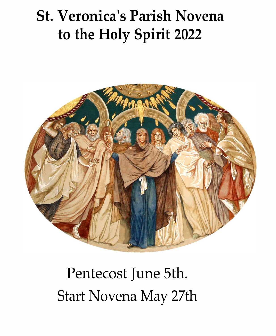# **St. Veronica's Parish Novena to the Holy Spirit 2022**



# Pentecost June 5th. Start Novena May 27th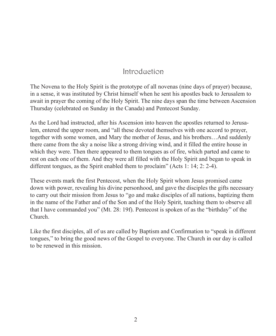## Introduction

The Novena to the Holy Spirit is the prototype of all novenas (nine days of prayer) because, in a sense, it was instituted by Christ himself when he sent his apostles back to Jerusalem to await in prayer the coming of the Holy Spirit. The nine days span the time between Ascension Thursday (celebrated on Sunday in the Canada) and Pentecost Sunday.

As the Lord had instructed, after his Ascension into heaven the apostles returned to Jerusalem, entered the upper room, and "all these devoted themselves with one accord to prayer, together with some women, and Mary the mother of Jesus, and his brothers…And suddenly there came from the sky a noise like a strong driving wind, and it filled the entire house in which they were. Then there appeared to them tongues as of fire, which parted and came to rest on each one of them. And they were all filled with the Holy Spirit and began to speak in different tongues, as the Spirit enabled them to proclaim" (Acts 1: 14; 2: 2-4).

These events mark the first Pentecost, when the Holy Spirit whom Jesus promised came down with power, revealing his divine personhood, and gave the disciples the gifts necessary to carry out their mission from Jesus to "go and make disciples of all nations, baptizing them in the name of the Father and of the Son and of the Holy Spirit, teaching them to observe all that I have commanded you" (Mt. 28: 19f). Pentecost is spoken of as the "birthday" of the Church.

Like the first disciples, all of us are called by Baptism and Confirmation to "speak in different tongues," to bring the good news of the Gospel to everyone. The Church in our day is called to be renewed in this mission.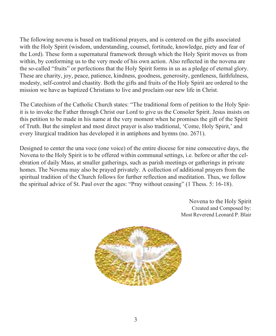The following novena is based on traditional prayers, and is centered on the gifts associated with the Holy Spirit (wisdom, understanding, counsel, fortitude, knowledge, piety and fear of the Lord). These form a supernatural framework through which the Holy Spirit moves us from within, by conforming us to the very mode of his own action. Also reflected in the novena are the so-called "fruits" or perfections that the Holy Spirit forms in us as a pledge of eternal glory. These are charity, joy, peace, patience, kindness, goodness, generosity, gentleness, faithfulness, modesty, self-control and chastity. Both the gifts and fruits of the Holy Spirit are ordered to the mission we have as baptized Christians to live and proclaim our new life in Christ.

The Catechism of the Catholic Church states: "The traditional form of petition to the Holy Spirit is to invoke the Father through Christ our Lord to give us the Consoler Spirit. Jesus insists on this petition to be made in his name at the very moment when he promises the gift of the Spirit of Truth. But the simplest and most direct prayer is also traditional, 'Come, Holy Spirit,' and every liturgical tradition has developed it in antiphons and hymns (no. 2671).

Designed to center the una voce (one voice) of the entire diocese for nine consecutive days, the Novena to the Holy Spirit is to be offered within communal settings, i.e. before or after the celebration of daily Mass, at smaller gatherings, such as parish meetings or gatherings in private homes. The Novena may also be prayed privately. A collection of additional prayers from the spiritual tradition of the Church follows for further reflection and meditation. Thus, we follow the spiritual advice of St. Paul over the ages: "Pray without ceasing" (1 Thess. 5: 16-18).

> Novena to the Holy Spirit Created and Composed by: Most Reverend Leonard P. Blair

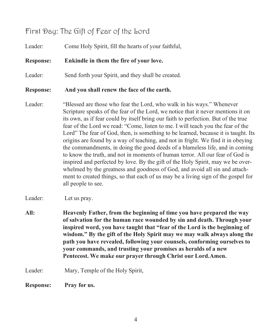## First Day: The Gift of Fear of the Lord

| Leader:          | Come Holy Spirit, fill the hearts of your faithful,                                                                                                                                                                                                                                                                                                                                                                                                                                                                                                                                                                                                                                                                                                                                                                                                                                                                                  |
|------------------|--------------------------------------------------------------------------------------------------------------------------------------------------------------------------------------------------------------------------------------------------------------------------------------------------------------------------------------------------------------------------------------------------------------------------------------------------------------------------------------------------------------------------------------------------------------------------------------------------------------------------------------------------------------------------------------------------------------------------------------------------------------------------------------------------------------------------------------------------------------------------------------------------------------------------------------|
| <b>Response:</b> | Enkindle in them the fire of your love.                                                                                                                                                                                                                                                                                                                                                                                                                                                                                                                                                                                                                                                                                                                                                                                                                                                                                              |
| Leader:          | Send forth your Spirit, and they shall be created.                                                                                                                                                                                                                                                                                                                                                                                                                                                                                                                                                                                                                                                                                                                                                                                                                                                                                   |
| <b>Response:</b> | And you shall renew the face of the earth.                                                                                                                                                                                                                                                                                                                                                                                                                                                                                                                                                                                                                                                                                                                                                                                                                                                                                           |
| Leader:          | "Blessed are those who fear the Lord, who walk in his ways." Whenever<br>Scripture speaks of the fear of the Lord, we notice that it never mentions it on<br>its own, as if fear could by itself bring our faith to perfection. But of the true<br>fear of the Lord we read: "Come, listen to me. I will teach you the fear of the<br>Lord" The fear of God, then, is something to be learned, because it is taught. Its<br>origins are found by a way of teaching, and not in fright. We find it in obeying<br>the commandments, in doing the good deeds of a blameless life, and in coming<br>to know the truth, and not in moments of human terror. All our fear of God is<br>inspired and perfected by love. By the gift of the Holy Spirit, may we be over-<br>whelmed by the greatness and goodness of God, and avoid all sin and attach-<br>ment to created things, so that each of us may be a living sign of the gospel for |

Leader: Let us pray.

**All: Heavenly Father, from the beginning of time you have prepared the way of salvation for the human race wounded by sin and death. Through your inspired word, you have taught that "fear of the Lord is the beginning of wisdom." By the gift of the Holy Spirit may we may walk always along the path you have revealed, following your counsels, conforming ourselves to your commands, and trusting your promises as heralds of a new Pentecost. We make our prayer through Christ our Lord.Amen.**

Leader: Mary, Temple of the Holy Spirit,

all people to see.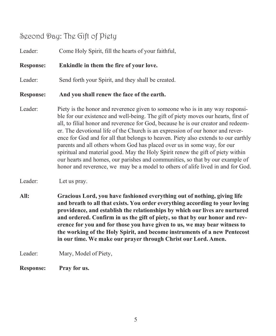## Second Day: The Gift of Piety

Leader: Come Holy Spirit, fill the hearts of your faithful, **Response: Enkindle in them the fire of your love.** Leader: Send forth your Spirit, and they shall be created. **Response: And you shall renew the face of the earth.** Leader: Piety is the honor and reverence given to someone who is in any way responsible for our existence and well-being. The gift of piety moves our hearts, first of all, to filial honor and reverence for God, because he is our creator and redeemer. The devotional life of the Church is an expression of our honor and reverence for God and for all that belongs to heaven. Piety also extends to our earthly parents and all others whom God has placed over us in some way, for our spiritual and material good. May the Holy Spirit renew the gift of piety within our hearts and homes, our parishes and communities, so that by our example of honor and reverence, we may be a model to others of alife lived in and for God.

Leader: Let us pray.

**All: Gracious Lord, you have fashioned everything out of nothing, giving life and breath to all that exists. You order everything according to your loving providence, and establish the relationships by which our lives are nurtured and ordered. Confirm in us the gift of piety, so that by our honor and reverence for you and for those you have given to us, we may bear witness to the working of the Holy Spirit, and become instruments of a new Pentecost in our time. We make our prayer through Christ our Lord. Amen.**

Leader: Mary, Model of Piety,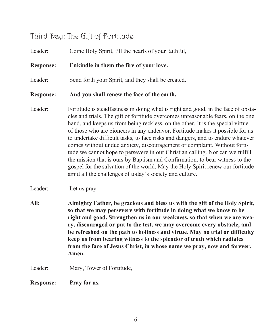## Third Day: The Gift of Fortitude

Leader: Come Holy Spirit, fill the hearts of your faithful, **Response: Enkindle in them the fire of your love.** Leader: Send forth your Spirit, and they shall be created. **Response: And you shall renew the face of the earth.** Leader: Fortitude is steadfastness in doing what is right and good, in the face of obstacles and trials. The gift of fortitude overcomes unreasonable fears, on the one hand, and keeps us from being reckless, on the other. It is the special virtue of those who are pioneers in any endeavor. Fortitude makes it possible for us to undertake difficult tasks, to face risks and dangers, and to endure whatever comes without undue anxiety, discouragement or complaint. Without fortitude we cannot hope to persevere in our Christian calling. Nor can we fulfill the mission that is ours by Baptism and Confirmation, to bear witness to the gospel for the salvation of the world. May the Holy Spirit renew our fortitude amid all the challenges of today's society and culture. Leader: Let us pray. **All: Almighty Father, be gracious and bless us with the gift of the Holy Spirit, so that we may persevere with fortitude in doing what we know to be right and good. Strengthen us in our weakness, so that when we are weary, discouraged or put to the test, we may overcome every obstacle, and be refreshed on the path to holiness and virtue. May no trial or difficulty keep us from bearing witness to the splendor of truth which radiates from the face of Jesus Christ, in whose name we pray, now and forever. Amen.** Leader: Mary, Tower of Fortitude, **Response: Pray for us.**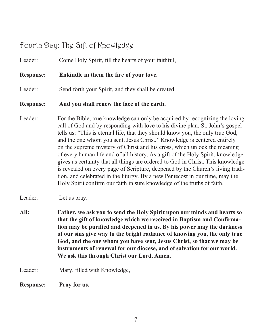## Fourth Day: The Gift of Knowledge

| Leader:          | Come Holy Spirit, fill the hearts of your faithful,                                                                                                                                                                                                                                                                                                                                                                                                                                                                                                                                                                                                                                                                                                                                                                        |
|------------------|----------------------------------------------------------------------------------------------------------------------------------------------------------------------------------------------------------------------------------------------------------------------------------------------------------------------------------------------------------------------------------------------------------------------------------------------------------------------------------------------------------------------------------------------------------------------------------------------------------------------------------------------------------------------------------------------------------------------------------------------------------------------------------------------------------------------------|
| <b>Response:</b> | Enkindle in them the fire of your love.                                                                                                                                                                                                                                                                                                                                                                                                                                                                                                                                                                                                                                                                                                                                                                                    |
| Leader:          | Send forth your Spirit, and they shall be created.                                                                                                                                                                                                                                                                                                                                                                                                                                                                                                                                                                                                                                                                                                                                                                         |
| <b>Response:</b> | And you shall renew the face of the earth.                                                                                                                                                                                                                                                                                                                                                                                                                                                                                                                                                                                                                                                                                                                                                                                 |
| Leader:          | For the Bible, true knowledge can only be acquired by recognizing the loving<br>call of God and by responding with love to his divine plan. St. John's gospel<br>tells us: "This is eternal life, that they should know you, the only true God,<br>and the one whom you sent, Jesus Christ." Knowledge is centered entirely<br>on the supreme mystery of Christ and his cross, which unlock the meaning<br>of every human life and of all history. As a gift of the Holy Spirit, knowledge<br>gives us certainty that all things are ordered to God in Christ. This knowledge<br>is revealed on every page of Scripture, deepened by the Church's living tradi-<br>tion, and celebrated in the liturgy. By a new Pentecost in our time, may the<br>Holy Spirit confirm our faith in sure knowledge of the truths of faith. |
| Leader:          | Let us pray.                                                                                                                                                                                                                                                                                                                                                                                                                                                                                                                                                                                                                                                                                                                                                                                                               |
| All:             | Father, we ask you to send the Holy Spirit upon our minds and hearts so<br>that the gift of knowledge which we received in Baptism and Confirma-<br>tion may be purified and deepened in us. By his power may the darkness<br>of our sins give way to the bright radiance of knowing you, the only true<br>God, and the one whom you have sent, Jesus Christ, so that we may be<br>instruments of renewal for our diocese, and of salvation for our world.<br>We ask this through Christ our Lord. Amen.                                                                                                                                                                                                                                                                                                                   |
| Leader:          | Mary, filled with Knowledge,                                                                                                                                                                                                                                                                                                                                                                                                                                                                                                                                                                                                                                                                                                                                                                                               |
| <b>Response:</b> | Pray for us.                                                                                                                                                                                                                                                                                                                                                                                                                                                                                                                                                                                                                                                                                                                                                                                                               |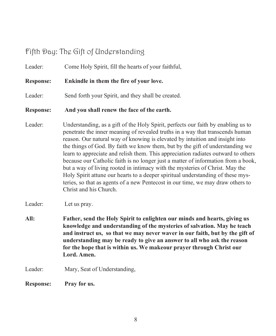## Fifth Day: The Gift of Understanding

Leader: Come Holy Spirit, fill the hearts of your faithful, **Response: Enkindle in them the fire of your love.** Leader: Send forth your Spirit, and they shall be created. **Response: And you shall renew the face of the earth.** Leader: Understanding, as a gift of the Holy Spirit, perfects our faith by enabling us to penetrate the inner meaning of revealed truths in a way that transcends human reason. Our natural way of knowing is elevated by intuition and insight into the things of God. By faith we know them, but by the gift of understanding we learn to appreciate and relish them. This appreciation radiates outward to others because our Catholic faith is no longer just a matter of information from a book, but a way of living rooted in intimacy with the mysteries of Christ. May the Holy Spirit attune our hearts to a deeper spiritual understanding of these mysteries, so that as agents of a new Pentecost in our time, we may draw others to Christ and his Church. Leader: Let us pray. **All: Father, send the Holy Spirit to enlighten our minds and hearts, giving us knowledge and understanding of the mysteries of salvation. May he teach**

**and instruct us, so that we may never waver in our faith, but by the gift of understanding may be ready to give an answer to all who ask the reason for the hope that is within us. We makeour prayer through Christ our Lord. Amen.**

Leader: Mary, Seat of Understanding,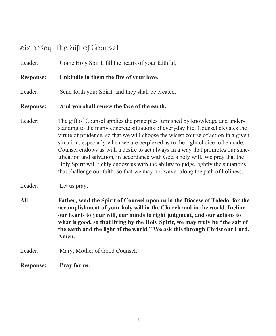## Sixth Day: The Gift of Counsel

Leader: Come Holy Spirit, fill the hearts of your faithful, **Response: Enkindle in them the fire of your love.** Leader: Send forth your Spirit, and they shall be created. **Response: And you shall renew the face of the earth.** Leader: The gift of Counsel applies the principles furnished by knowledge and understanding to the many concrete situations of everyday life. Counsel elevates the virtue of prudence, so that we will choose the wisest course of action in a given situation, especially when we are perplexed as to the right choice to be made. Counsel endows us with a desire to act always in a way that promotes our sanctification and salvation, in accordance with God's holy will. We pray that the Holy Spirit will richly endow us with the ability to judge rightly the situations that challenge our faith, so that we may not waver along the path of holiness. Leader: Let us pray. **All: Father, send the Spirit of Counsel upon us in the Diocese of Toledo, for the accomplishment of your holy will in the Church and in the world. Incline our hearts to your will, our minds to right judgment, and our actions to what is good, so that living by the Holy Spirit, we may truly be "the salt of the earth and the light of the world." We ask this through Christ our Lord. Amen.** Leader: Mary, Mother of Good Counsel, **Response: Pray for us.**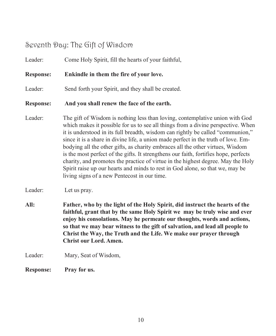## Seventh Day: The Gift of Wisdom

| <b>Response:</b> | Pray for us.                                                                                                                                                                                                                                                                                                                                                                                                                                                                                                                                                                                                                                                                                                                             |
|------------------|------------------------------------------------------------------------------------------------------------------------------------------------------------------------------------------------------------------------------------------------------------------------------------------------------------------------------------------------------------------------------------------------------------------------------------------------------------------------------------------------------------------------------------------------------------------------------------------------------------------------------------------------------------------------------------------------------------------------------------------|
| Leader:          | Mary, Seat of Wisdom,                                                                                                                                                                                                                                                                                                                                                                                                                                                                                                                                                                                                                                                                                                                    |
| All:             | Father, who by the light of the Holy Spirit, did instruct the hearts of the<br>faithful, grant that by the same Holy Spirit we may be truly wise and ever<br>enjoy his consolations. May he permeate our thoughts, words and actions,<br>so that we may bear witness to the gift of salvation, and lead all people to<br>Christ the Way, the Truth and the Life. We make our prayer through<br><b>Christ our Lord. Amen.</b>                                                                                                                                                                                                                                                                                                             |
| Leader:          | Let us pray.                                                                                                                                                                                                                                                                                                                                                                                                                                                                                                                                                                                                                                                                                                                             |
| Leader:          | The gift of Wisdom is nothing less than loving, contemplative union with God<br>which makes it possible for us to see all things from a divine perspective. When<br>it is understood in its full breadth, wisdom can rightly be called "communion,"<br>since it is a share in divine life, a union made perfect in the truth of love. Em-<br>bodying all the other gifts, as charity embraces all the other virtues, Wisdom<br>is the most perfect of the gifts. It strengthens our faith, fortifies hope, perfects<br>charity, and promotes the practice of virtue in the highest degree. May the Holy<br>Spirit raise up our hearts and minds to rest in God alone, so that we, may be<br>living signs of a new Pentecost in our time. |
| <b>Response:</b> | And you shall renew the face of the earth.                                                                                                                                                                                                                                                                                                                                                                                                                                                                                                                                                                                                                                                                                               |
| Leader:          | Send forth your Spirit, and they shall be created.                                                                                                                                                                                                                                                                                                                                                                                                                                                                                                                                                                                                                                                                                       |
| <b>Response:</b> | Enkindle in them the fire of your love.                                                                                                                                                                                                                                                                                                                                                                                                                                                                                                                                                                                                                                                                                                  |
| Leader:          | Come Holy Spirit, fill the hearts of your faithful,                                                                                                                                                                                                                                                                                                                                                                                                                                                                                                                                                                                                                                                                                      |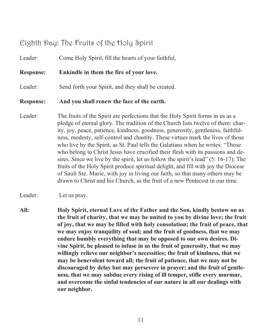## Eighth Day: The Fruits of the Holy Spirit

Leader: Come Holy Spirit, fill the hearts of your faithful,

#### **Response: Enkindle in them the fire of your love.**

Leader: Send forth your Spirit, and they shall be created.

#### **Response: And you shall renew the face of the earth.**

Leader: The fruits of the Spirit are perfections that the Holy Spirit forms in us as a pledge of eternal glory. The tradition of the Church lists twelve of them: charity, joy, peace, patience, kindness, goodness, generosity, gentleness, faithfulness, modesty, self-control and chastity. These virtues mark the lives of those who live by the Spirit, as St. Paul tells the Galatians when he writes: "Those who belong to Christ Jesus have crucified their flesh with its passions and desires. Since we live by the spirit, let us follow the spirit's lead" (5: 16-17). The fruits of the Holy Spirit produce spiritual delight, and fill with joy the Diocese of Sault Ste. Marie, with joy in living our faith, so that many others may be drawn to Christ and his Church, as the fruit of a new Pentecost in our time.

Leader: Let us pray.

**All: Holy Spirit, eternal Love of the Father and the Son, kindly bestow on us the fruit of charity, that we may be united to you by divine love; the fruit of joy, that we may be filled with holy consolation; the fruit of peace, that we may enjoy tranquility of soul; and the fruit of goodness, that we may endure humbly everything that may be opposed to our own desires. Divine Spirit, be pleased to infuse in us the fruit of generosity, that we may willingly relieve our neighbor's necessities; the fruit of kindness, that we may be benevolent toward all; the fruit of patience, that we may not be discouraged by delay but may persevere in prayer; and the fruit of gentleness, that we may subdue every rising of ill temper, stifle every murmur, and overcome the sinful tendencies of our nature in all our dealings with our neighbor.**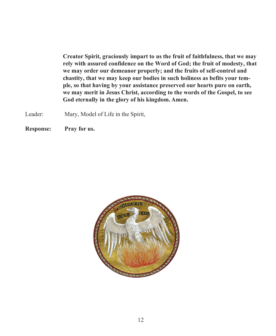**Creator Spirit, graciously impart to us the fruit of faithfulness, that we may rely with assured confidence on the Word of God; the fruit of modesty, that we may order our demeanor properly; and the fruits of self-control and chastity, that we may keep our bodies in such holiness as befits your temple, so that having by your assistance preserved our hearts pure on earth, we may merit in Jesus Christ, according to the words of the Gospel, to see God eternally in the glory of his kingdom. Amen.**

Leader: Mary, Model of Life in the Spirit,

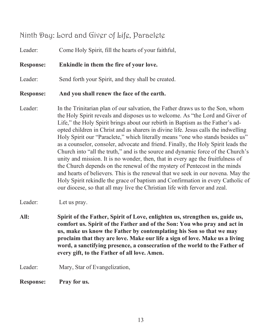## Ninth Day: Lord and Giver of Life, Paraclete

Leader: Come Holy Spirit, fill the hearts of your faithful,

**Response: Enkindle in them the fire of your love.**

Leader: Send forth your Spirit, and they shall be created.

#### **Response: And you shall renew the face of the earth.**

Leader: In the Trinitarian plan of our salvation, the Father draws us to the Son, whom the Holy Spirit reveals and disposes us to welcome. As "the Lord and Giver of Life," the Holy Spirit brings about our rebirth in Baptism as the Father's adopted children in Christ and as sharers in divine life. Jesus calls the indwelling Holy Spirit our "Paraclete," which literally means "one who stands besides us" as a counselor, consoler, advocate and friend. Finally, the Holy Spirit leads the Church into "all the truth," and is the source and dynamic force of the Church's unity and mission. It is no wonder, then, that in every age the fruitfulness of the Church depends on the renewal of the mystery of Pentecost in the minds and hearts of believers. This is the renewal that we seek in our novena. May the Holy Spirit rekindle the grace of baptism and Confirmation in every Catholic of our diocese, so that all may live the Christian life with fervor and zeal.

Leader: Let us pray.

- **All: Spirit of the Father, Spirit of Love, enlighten us, strengthen us, guide us, comfort us. Spirit of the Father and of the Son: You who pray and act in us, make us know the Father by contemplating his Son so that we may proclaim that they are love. Make our life a sign of love. Make us a living word, a sanctifying presence, a consecration of the world to the Father of every gift, to the Father of all love. Amen.**
- Leader: Mary, Star of Evangelization,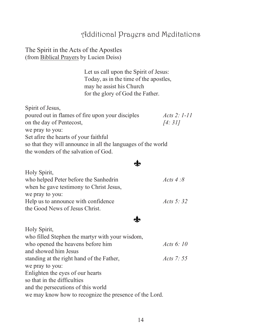## Additional Prayers and Meditations

#### The Spirit in the Acts of the Apostles (from Biblical Prayers by Lucien Deiss)

Holy Spirit,

Let us call upon the Spirit of Jesus: Today, as in the time of the apostles, may he assist his Church for the glory of God the Father.

| Spirit of Jesus,                                             |                  |
|--------------------------------------------------------------|------------------|
| poured out in flames of fire upon your disciples             | $Acts$ 2: $1-11$ |
| on the day of Pentecost,                                     | [4:31]           |
| we pray to you:                                              |                  |
| Set afire the hearts of your faithful                        |                  |
| so that they will announce in all the languages of the world |                  |
| the wonders of the salvation of God.                         |                  |

### $\mathbf{r}$

| Holy Spirit,<br>who helped Peter before the Sanhedrin<br>when he gave testimony to Christ Jesus, | Acts $4:8$   |
|--------------------------------------------------------------------------------------------------|--------------|
| we pray to you:                                                                                  |              |
| Help us to announce with confidence                                                              | Acts 5: $32$ |
| the Good News of Jesus Christ.                                                                   |              |

### $\mathbf{r}$

| <b>HOIV SPIFIL.</b>                                    |              |  |
|--------------------------------------------------------|--------------|--|
| who filled Stephen the martyr with your wisdom,        |              |  |
| who opened the heavens before him                      | Acts $6:10$  |  |
| and showed him Jesus                                   |              |  |
| standing at the right hand of the Father,              | Acts 7: $55$ |  |
| we pray to you:                                        |              |  |
| Enlighten the eyes of our hearts                       |              |  |
| so that in the difficulties                            |              |  |
| and the persecutions of this world                     |              |  |
| we may know how to recognize the presence of the Lord. |              |  |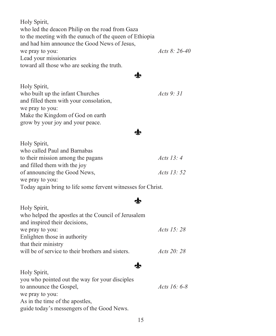Holy Spirit, who led the deacon Philip on the road from Gaza to the meeting with the eunuch of the queen of Ethiopia and had him announce the Good News of Jesus, we pray to you: *Acts 8: 26-40* Lead your missionaries toward all those who are seeking the truth.

### $\mathbf{r}$

 $\mathbf{r}$ 

| Holy Spirit,                           |             |
|----------------------------------------|-------------|
| who built up the infant Churches       | Acts $9:31$ |
| and filled them with your consolation, |             |
| we pray to you:                        |             |
| Make the Kingdom of God on earth       |             |
| grow by your joy and your peace.       |             |
|                                        |             |

| Holy Spirit,                                                 |                   |
|--------------------------------------------------------------|-------------------|
| who called Paul and Barnabas                                 |                   |
| to their mission among the pagans                            | Acts 13: $4$      |
| and filled them with the joy                                 |                   |
| of announcing the Good News,                                 | <i>Acts</i> 13:52 |
| we pray to you:                                              |                   |
| Today again bring to life some fervent witnesses for Christ. |                   |

## $\mathbf{r}$

| $1101y$ $\cup$ $\cup$ $1111y$                       |                   |
|-----------------------------------------------------|-------------------|
| who helped the apostles at the Council of Jerusalem |                   |
| and inspired their decisions,                       |                   |
| we pray to you:                                     | <i>Acts</i> 15:28 |
| Enlighten those in authority                        |                   |
| that their ministry                                 |                   |
| will be of service to their brothers and sisters.   | Acts $20:28$      |
|                                                     |                   |

Holy Spirit,

#### **do**

| Holy Spirit,                                   |                     |
|------------------------------------------------|---------------------|
| you who pointed out the way for your disciples |                     |
| to announce the Gospel,                        | <i>Acts</i> 16: 6-8 |
| we pray to you:                                |                     |
| As in the time of the apostles,                |                     |
| guide today's messengers of the Good News.     |                     |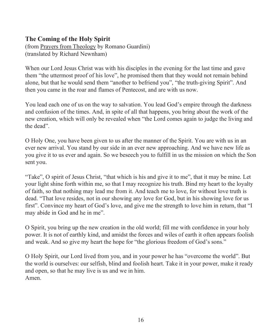#### **The Coming of the Holy Spirit**

(from Prayers from Theology by Romano Guardini) (translated by Richard Newnham)

When our Lord Jesus Christ was with his disciples in the evening for the last time and gave them "the uttermost proof of his love", he promised them that they would not remain behind alone, but that he would send them "another to befriend you", "the truth-giving Spirit". And then you came in the roar and flames of Pentecost, and are with us now.

You lead each one of us on the way to salvation. You lead God's empire through the darkness and confusion of the times. And, in spite of all that happens, you bring about the work of the new creation, which will only be revealed when "the Lord comes again to judge the living and the dead".

O Holy One, you have been given to us after the manner of the Spirit. You are with us in an ever new arrival. You stand by our side in an ever new approaching. And we have new life as you give it to us ever and again. So we beseech you to fulfill in us the mission on which the Son sent you.

"Take", O spirit of Jesus Christ, "that which is his and give it to me", that it may be mine. Let your light shine forth within me, so that I may recognize his truth. Bind my heart to the loyalty of faith, so that nothing may lead me from it. And teach me to love, for without love truth is dead. "That love resides, not in our showing any love for God, but in his showing love for us first". Convince my heart of God's love, and give me the strength to love him in return, that "I may abide in God and he in me".

O Spirit, you bring up the new creation in the old world; fill me with confidence in your holy power. It is not of earthly kind, and amidst the forces and wiles of earth it often appears foolish and weak. And so give my heart the hope for "the glorious freedom of God's sons."

O Holy Spirit, our Lord lived from you, and in your power he has "overcome the world". But the world is ourselves: our selfish, blind and foolish heart. Take it in your power, make it ready and open, so that he may live is us and we in him. Amen.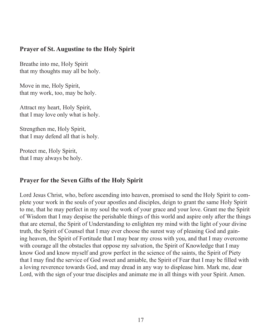#### **Prayer of St. Augustine to the Holy Spirit**

Breathe into me, Holy Spirit that my thoughts may all be holy.

Move in me, Holy Spirit, that my work, too, may be holy.

Attract my heart, Holy Spirit, that I may love only what is holy.

Strengthen me, Holy Spirit, that I may defend all that is holy.

Protect me, Holy Spirit, that I may always be holy.

### **Prayer for the Seven Gifts of the Holy Spirit**

Lord Jesus Christ, who, before ascending into heaven, promised to send the Holy Spirit to complete your work in the souls of your apostles and disciples, deign to grant the same Holy Spirit to me, that he may perfect in my soul the work of your grace and your love. Grant me the Spirit of Wisdom that I may despise the perishable things of this world and aspire only after the things that are eternal, the Spirit of Understanding to enlighten my mind with the light of your divine truth, the Spirit of Counsel that I may ever choose the surest way of pleasing God and gaining heaven, the Spirit of Fortitude that I may bear my cross with you, and that I may overcome with courage all the obstacles that oppose my salvation, the Spirit of Knowledge that I may know God and know myself and grow perfect in the science of the saints, the Spirit of Piety that I may find the service of God sweet and amiable, the Spirit of Fear that I may be filled with a loving reverence towards God, and may dread in any way to displease him. Mark me, dear Lord, with the sign of your true disciples and animate me in all things with your Spirit. Amen.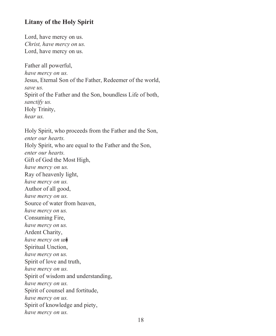#### **Litany of the Holy Spirit**

Lord, have mercy on us. *Christ, have mercy on us.* Lord, have mercy on us.

Father all powerful, *have mercy on us.* Jesus, Eternal Son of the Father, Redeemer of the world, *save us.* Spirit of the Father and the Son, boundless Life of both, *sanctify us.* Holy Trinity, *hear us.*

Holy Spirit, who proceeds from the Father and the Son, *enter our hearts.* Holy Spirit, who are equal to the Father and the Son, *enter our hearts.* Gift of God the Most High, *have mercy on us.* Ray of heavenly light, *have mercy on us.* Author of all good, *have mercy on us.* Source of water from heaven, *have mercy on us.* Consuming Fire, *have mercy on us.* Ardent Charity, *have mercy on us*� Spiritual Unction, *have mercy on us.* Spirit of love and truth, *have mercy on us.* Spirit of wisdom and understanding, *have mercy on us.* Spirit of counsel and fortitude, *have mercy on us.* Spirit of knowledge and piety, *have mercy on us.*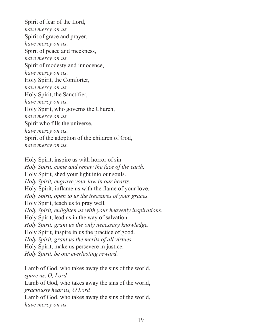Spirit of fear of the Lord, *have mercy on us.* Spirit of grace and prayer, *have mercy on us.* Spirit of peace and meekness, *have mercy on us.* Spirit of modesty and innocence, *have mercy on us.* Holy Spirit, the Comforter, *have mercy on us.* Holy Spirit, the Sanctifier, *have mercy on us.* Holy Spirit, who governs the Church, *have mercy on us.* Spirit who fills the universe, *have mercy on us.* Spirit of the adoption of the children of God, *have mercy on us.*

Holy Spirit, inspire us with horror of sin. *Holy Spirit, come and renew the face of the earth.* Holy Spirit, shed your light into our souls. *Holy Spirit, engrave your law in our hearts.* Holy Spirit, inflame us with the flame of your love. *Holy Spirit, open to us the treasures of your graces.* Holy Spirit, teach us to pray well. *Holy Spirit, enlighten us with your heavenly inspirations.* Holy Spirit, lead us in the way of salvation. *Holy Spirit, grant us the only necessary knowledge.* Holy Spirit, inspire in us the practice of good. *Holy Spirit, grant us the merits of all virtues.* Holy Spirit, make us persevere in justice. *Holy Spirit, be our everlasting reward.*

Lamb of God, who takes away the sins of the world, *spare us, O, Lord* Lamb of God, who takes away the sins of the world,

*graciously hear us, O Lord*

Lamb of God, who takes away the sins of the world, *have mercy on us.*